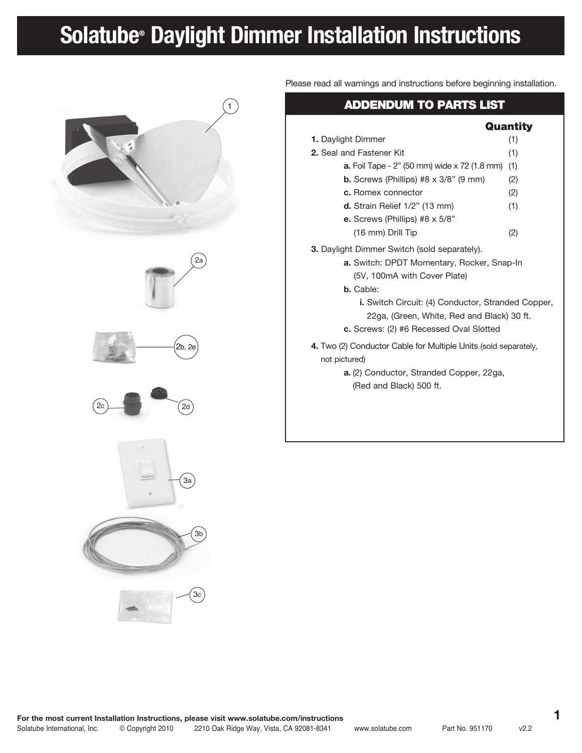# **Solatube® Daylight Dimmer Installation Instructions**



Please read all warnings and instructions before beginning installation.

## ADDENDUM TO PARTS LIST

|                                                                                                                                                                                                                                                                                                                    | Quantity |
|--------------------------------------------------------------------------------------------------------------------------------------------------------------------------------------------------------------------------------------------------------------------------------------------------------------------|----------|
| <b>1.</b> Daylight Dimmer                                                                                                                                                                                                                                                                                          | (1)      |
| 2. Seal and Fastener Kit                                                                                                                                                                                                                                                                                           | (1)      |
| <b>a.</b> Foil Tape - 2" (50 mm) wide x 72 (1.8 mm)                                                                                                                                                                                                                                                                | (1)      |
| <b>b.</b> Screws (Phillips) #8 $\times$ 3/8" (9 mm)                                                                                                                                                                                                                                                                | (2)      |
| c. Romex connector                                                                                                                                                                                                                                                                                                 | (2)      |
| d. Strain Relief 1/2" (13 mm)                                                                                                                                                                                                                                                                                      | (1)      |
| <b>e.</b> Screws (Phillips) #8 $\times$ 5/8"                                                                                                                                                                                                                                                                       |          |
| (16 mm) Drill Tip                                                                                                                                                                                                                                                                                                  | (2)      |
| <b>3.</b> Daylight Dimmer Switch (sold separately).<br><b>a.</b> Switch: DPDT Momentary, Rocker, Snap-In<br>(5V, 100mA with Cover Plate)<br><b>b.</b> Cable:<br><b>i.</b> Switch Circuit: (4) Conductor, Stranded Copper,<br>22ga, (Green, White, Red and Black) 30 ft.<br>c. Screws: (2) #6 Recessed Oval Slotted |          |
| 4. Two (2) Conductor Cable for Multiple Units (sold separately,<br>not pictured)<br>a. (2) Conductor, Stranded Copper, 22ga,                                                                                                                                                                                       |          |
| (Red and Black) 500 ft.                                                                                                                                                                                                                                                                                            |          |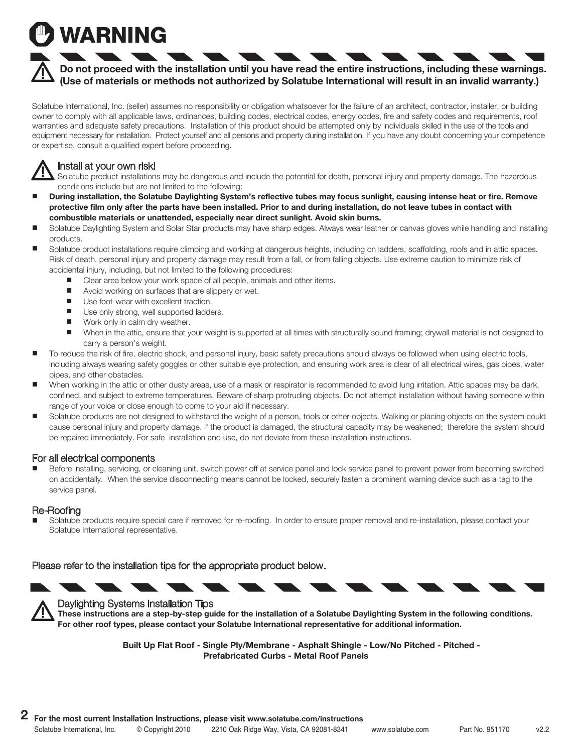# WARNING

### **Do not proceed with the installation until you have read the entire instructions, including these warnings. (Use of materials or methods not authorized by Solatube International will result in an invalid warranty.)**

Solatube International, Inc. (seller) assumes no responsibility or obligation whatsoever for the failure of an architect, contractor, installer, or building owner to comply with all applicable laws, ordinances, building codes, electrical codes, energy codes, fire and safety codes and requirements, roof warranties and adequate safety precautions. Installation of this product should be attempted only by individuals skilled in the use of the tools and equipment necessary for installation. Protect yourself and all persons and property during installation. If you have any doubt concerning your competence or expertise, consult a qualified expert before proceeding.

### Install at your own risk!

Solatube product installations may be dangerous and include the potential for death, personal injury and property damage. The hazardous conditions include but are not limited to the following:

- **During installation, the Solatube Daylighting System's reflective tubes may focus sunlight, causing intense heat or fire. Remove protective film only after the parts have been installed. Prior to and during installation, do not leave tubes in contact with combustible materials or unattended, especially near direct sunlight. Avoid skin burns.**
- Solatube Daylighting System and Solar Star products may have sharp edges. Always wear leather or canvas gloves while handling and installing products.
- Solatube product installations require climbing and working at dangerous heights, including on ladders, scaffolding, roofs and in attic spaces. Risk of death, personal injury and property damage may result from a fall, or from falling objects. Use extreme caution to minimize risk of accidental injury, including, but not limited to the following procedures:
	- Clear area below your work space of all people, animals and other items.
	- **Nota** Avoid working on surfaces that are slippery or wet.
	- Use foot-wear with excellent traction.
	- Use only strong, well supported ladders.
	- Work only in calm dry weather.
	- When in the attic, ensure that your weight is supported at all times with structurally sound framing; drywall material is not designed to carry a person's weight.
- To reduce the risk of fire, electric shock, and personal injury, basic safety precautions should always be followed when using electric tools, including always wearing safety goggles or other suitable eye protection, and ensuring work area is clear of all electrical wires, gas pipes, water pipes, and other obstacles.
- When working in the attic or other dusty areas, use of a mask or respirator is recommended to avoid lung irritation. Attic spaces may be dark, confined, and subject to extreme temperatures. Beware of sharp protruding objects. Do not attempt installation without having someone within range of your voice or close enough to come to your aid if necessary.
- Solatube products are not designed to withstand the weight of a person, tools or other objects. Walking or placing objects on the system could cause personal injury and property damage. If the product is damaged, the structural capacity may be weakened; therefore the system should be repaired immediately. For safe installation and use, do not deviate from these installation instructions.

### For all electrical components

 Before installing, servicing, or cleaning unit, switch power off at service panel and lock service panel to prevent power from becoming switched on accidentally. When the service disconnecting means cannot be locked, securely fasten a prominent warning device such as a tag to the service panel.

### Re-Roofing

 Solatube products require special care if removed for re-roofing. In order to ensure proper removal and re-installation, please contact your Solatube International representative.

Please refer to the installation tips for the appropriate product below.



### Daylighting Systems Installation Tips

**These instructions are a step-by-step guide for the installation of a Solatube Daylighting System in the following conditions. For other roof types, please contact your Solatube International representative for additional information.**

> **Built Up Flat Roof - Single Ply/Membrane - Asphalt Shingle - Low/No Pitched - Pitched - Prefabricated Curbs - Metal Roof Panels**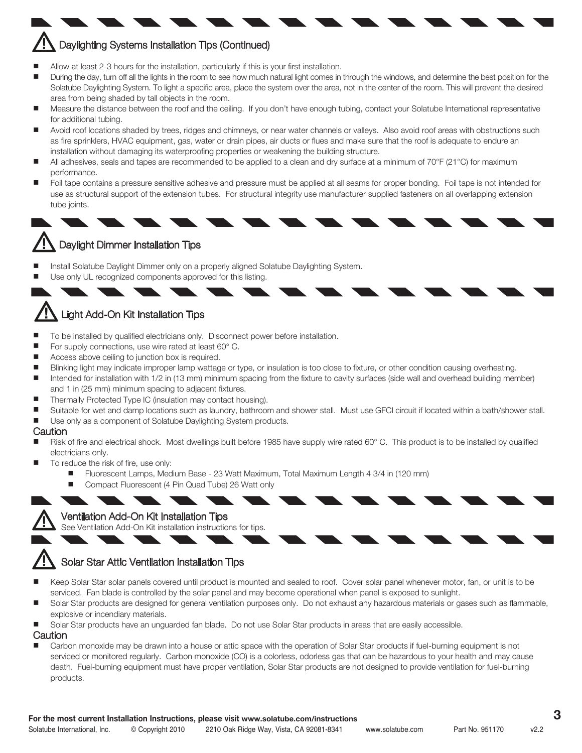# Daylighting Systems Installation Tips (Continued)

- Allow at least 2-3 hours for the installation, particularly if this is your first installation.
- During the day, turn off all the lights in the room to see how much natural light comes in through the windows, and determine the best position for the Solatube Daylighting System. To light a specific area, place the system over the area, not in the center of the room. This will prevent the desired area from being shaded by tall objects in the room.
- Measure the distance between the roof and the ceiling. If you don't have enough tubing, contact your Solatube International representative for additional tubing.
- Avoid roof locations shaded by trees, ridges and chimneys, or near water channels or valleys. Also avoid roof areas with obstructions such as fire sprinklers, HVAC equipment, gas, water or drain pipes, air ducts or flues and make sure that the roof is adequate to endure an installation without damaging its waterproofing properties or weakening the building structure.
- All adhesives, seals and tapes are recommended to be applied to a clean and dry surface at a minimum of 70°F (21°C) for maximum performance.
- Foil tape contains a pressure sensitive adhesive and pressure must be applied at all seams for proper bonding. Foil tape is not intended for use as structural support of the extension tubes. For structural integrity use manufacturer supplied fasteners on all overlapping extension tube joints.



- Install Solatube Daylight Dimmer only on a properly aligned Solatube Daylighting System.
- Use only UL recognized components approved for this listing.

## Light Add-On Kit Installation Tips

- To be installed by qualified electricians only. Disconnect power before installation.
- For supply connections, use wire rated at least 60° C.
- Access above ceiling to junction box is required.
- Blinking light may indicate improper lamp wattage or type, or insulation is too close to fixture, or other condition causing overheating.
- Intended for installation with 1/2 in (13 mm) minimum spacing from the fixture to cavity surfaces (side wall and overhead building member) and 1 in (25 mm) minimum spacing to adjacent fixtures.
- Thermally Protected Type IC (insulation may contact housing).
- Suitable for wet and damp locations such as laundry, bathroom and shower stall. Must use GFCI circuit if located within a bath/shower stall.
- Use only as a component of Solatube Daylighting System products.

#### **Caution**

- Risk of fire and electrical shock. Most dwellings built before 1985 have supply wire rated 60° C. This product is to be installed by qualified electricians only.
- To reduce the risk of fire, use only:
	- Fluorescent Lamps, Medium Base 23 Watt Maximum, Total Maximum Length 4 3/4 in (120 mm)
	- Compact Fluorescent (4 Pin Quad Tube) 26 Watt only

### Ventilation Add-On Kit Installation Tips

See Ventilation Add-On Kit installation instructions for tips.

### Solar Star Attic Ventilation Installation Tips

- Keep Solar Star solar panels covered until product is mounted and sealed to roof. Cover solar panel whenever motor, fan, or unit is to be serviced. Fan blade is controlled by the solar panel and may become operational when panel is exposed to sunlight.
- Solar Star products are designed for general ventilation purposes only. Do not exhaust any hazardous materials or gases such as flammable, explosive or incendiary materials.
- Solar Star products have an unguarded fan blade. Do not use Solar Star products in areas that are easily accessible.

Caution

 Carbon monoxide may be drawn into a house or attic space with the operation of Solar Star products if fuel-burning equipment is not serviced or monitored regularly. Carbon monoxide (CO) is a colorless, odorless gas that can be hazardous to your health and may cause death. Fuel-burning equipment must have proper ventilation, Solar Star products are not designed to provide ventilation for fuel-burning products.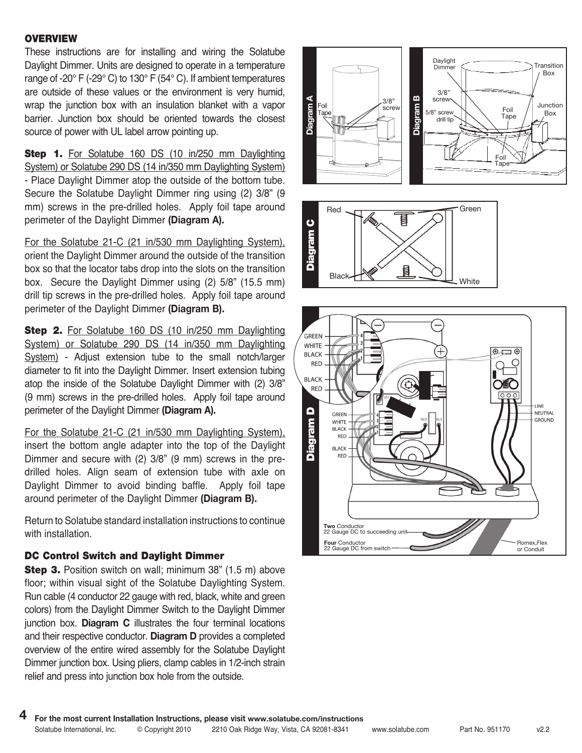### **OVERVIEW**

These instructions are for installing and wiring the Solatube Daylight Dimmer. Units are designed to operate in a temperature range of -20° F (-29° C) to 130° F (54° C). If ambient temperatures are outside of these values or the environment is very humid, wrap the junction box with an insulation blanket with a vapor barrier. Junction box should be oriented towards the closest source of power with UL label arrow pointing up.

Step 1. For Solatube 160 DS (10 in/250 mm Daylighting System) or Solatube 290 DS (14 in/350 mm Daylighting System) - Place Daylight Dimmer atop the outside of the bottom tube. Secure the Solatube Daylight Dimmer ring using (2) 3/8" (9 mm) screws in the pre-drilled holes. Apply foil tape around perimeter of the Daylight Dimmer **(Diagram A).**

For the Solatube 21-C (21 in/530 mm Daylighting System), orient the Daylight Dimmer around the outside of the transition box so that the locator tabs drop into the slots on the transition box. Secure the Daylight Dimmer using (2) 5/8" (15.5 mm) drill tip screws in the pre-drilled holes. Apply foil tape around perimeter of the Daylight Dimmer **(Diagram B).**

**Step 2.** For Solatube 160 DS (10 in/250 mm Daylighting System) or Solatube 290 DS (14 in/350 mm Daylighting System) - Adjust extension tube to the small notch/larger diameter to fit into the Daylight Dimmer. Insert extension tubing atop the inside of the Solatube Daylight Dimmer with (2) 3/8" (9 mm) screws in the pre-drilled holes. Apply foil tape around perimeter of the Daylight Dimmer **(Diagram A).**

For the Solatube 21-C (21 in/530 mm Daylighting System), insert the bottom angle adapter into the top of the Daylight Dimmer and secure with (2) 3/8" (9 mm) screws in the predrilled holes. Align seam of extension tube with axle on Daylight Dimmer to avoid binding baffle. Apply foil tape around perimeter of the Daylight Dimmer **(Diagram B).**

Return to Solatube standard installation instructions to continue with installation.

### DC Control Switch and Daylight Dimmer

**Step 3.** Position switch on wall; minimum 38" (1.5 m) above floor; within visual sight of the Solatube Daylighting System. Run cable (4 conductor 22 gauge with red, black, white and green colors) from the Daylight Dimmer Switch to the Daylight Dimmer junction box. **Diagram C** illustrates the four terminal locations and their respective conductor. **Diagram D** provides a completed overview of the entire wired assembly for the Solatube Daylight Dimmer junction box. Using pliers, clamp cables in 1/2-inch strain relief and press into junction box hole from the outside.